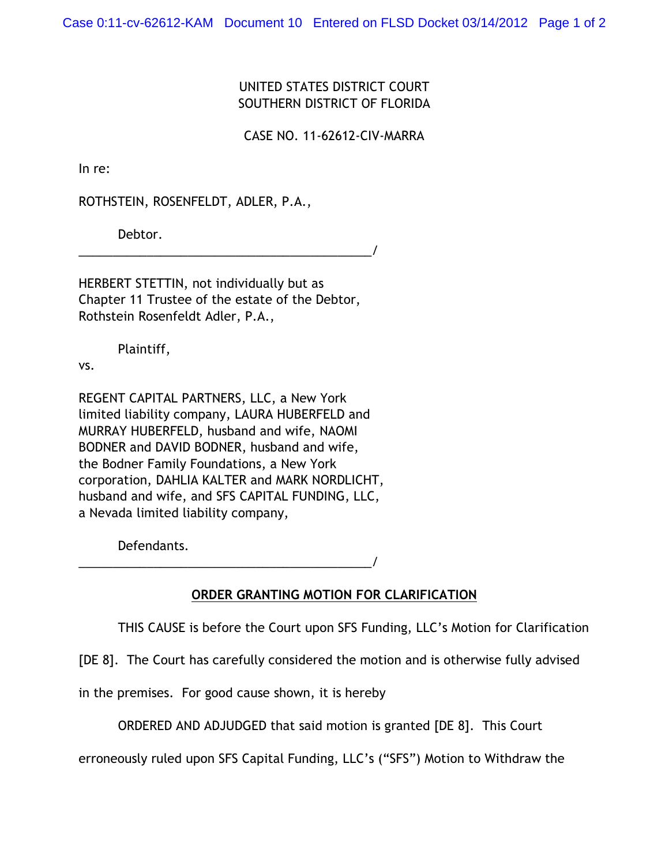Case 0:11-cv-62612-KAM Document 10 Entered on FLSD Docket 03/14/2012 Page 1 of 2

## UNITED STATES DISTRICT COURT SOUTHERN DISTRICT OF FLORIDA

CASE NO. 11-62612-CIV-MARRA

In re:

ROTHSTEIN, ROSENFELDT, ADLER, P.A.,

Debtor.

\_\_\_\_\_\_\_\_\_\_\_\_\_\_\_\_\_\_\_\_\_\_\_\_\_\_\_\_\_\_\_\_\_\_\_\_\_\_\_\_\_\_\_/

HERBERT STETTIN, not individually but as Chapter 11 Trustee of the estate of the Debtor, Rothstein Rosenfeldt Adler, P.A.,

Plaintiff,

vs.

REGENT CAPITAL PARTNERS, LLC, a New York limited liability company, LAURA HUBERFELD and MURRAY HUBERFELD, husband and wife, NAOMI BODNER and DAVID BODNER, husband and wife, the Bodner Family Foundations, a New York corporation, DAHLIA KALTER and MARK NORDLICHT, husband and wife, and SFS CAPITAL FUNDING, LLC, a Nevada limited liability company,

\_\_\_\_\_\_\_\_\_\_\_\_\_\_\_\_\_\_\_\_\_\_\_\_\_\_\_\_\_\_\_\_\_\_\_\_\_\_\_\_\_\_\_/

Defendants.

**ORDER GRANTING MOTION FOR CLARIFICATION**

THIS CAUSE is before the Court upon SFS Funding, LLC's Motion for Clarification

[DE 8]. The Court has carefully considered the motion and is otherwise fully advised

in the premises. For good cause shown, it is hereby

ORDERED AND ADJUDGED that said motion is granted [DE 8]. This Court

erroneously ruled upon SFS Capital Funding, LLC's ("SFS") Motion to Withdraw the